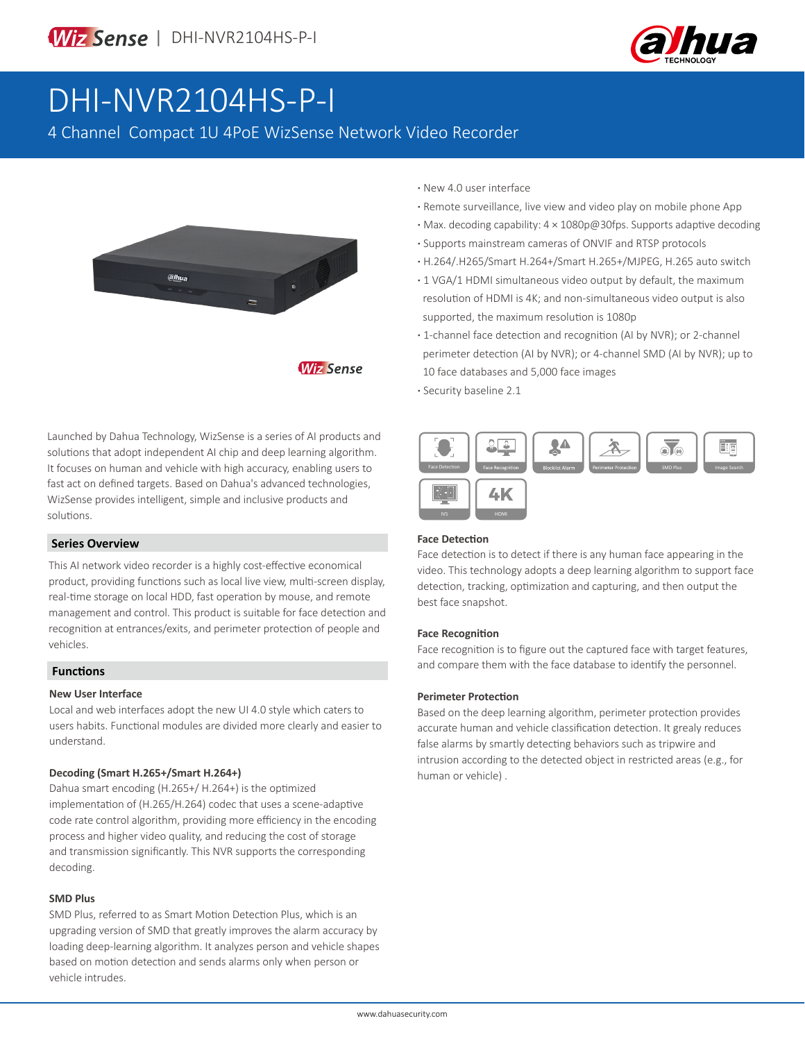

## DHI-NVR2104HS-P-I

4 Channel Compact 1U 4PoE WizSense Network Video Recorder



Launched by Dahua Technology, WizSense is a series of AI products and solutions that adopt independent AI chip and deep learning algorithm. It focuses on human and vehicle with high accuracy, enabling users to fast act on defined targets. Based on Dahua's advanced technologies, WizSense provides intelligent, simple and inclusive products and solutions.

#### **Series Overview**

This AI network video recorder is a highly cost-effective economical product, providing functions such as local live view, multi-screen display, real-time storage on local HDD, fast operation by mouse, and remote management and control. This product is suitable for face detection and recognition at entrances/exits, and perimeter protection of people and vehicles.

#### **Functions**

#### **New User Interface**

Local and web interfaces adopt the new UI 4.0 style which caters to users habits. Functional modules are divided more clearly and easier to understand.

#### **Decoding (Smart H.265+/Smart H.264+)**

Dahua smart encoding (H.265+/ H.264+) is the optimized implementation of (H.265/H.264) codec that uses a scene-adaptive code rate control algorithm, providing more efficiency in the encoding process and higher video quality, and reducing the cost of storage and transmission significantly. This NVR supports the corresponding decoding.

#### **SMD Plus**

SMD Plus, referred to as Smart Motion Detection Plus, which is an upgrading version of SMD that greatly improves the alarm accuracy by loading deep-learning algorithm. It analyzes person and vehicle shapes based on motion detection and sends alarms only when person or vehicle intrudes.

- **·** New 4.0 user interface
- **·** Remote surveillance, live view and video play on mobile phone App
- **·** Max. decoding capability: 4 × 1080p@30fps. Supports adaptive decoding
- **·** Supports mainstream cameras of ONVIF and RTSP protocols
- **·** H.264/.H265/Smart H.264+/Smart H.265+/MJPEG, H.265 auto switch
- **·** 1 VGA/1 HDMI simultaneous video output by default, the maximum resolution of HDMI is 4K; and non-simultaneous video output is also supported, the maximum resolution is 1080p
- **·** 1-channel face detection and recognition (AI by NVR); or 2-channel perimeter detection (AI by NVR); or 4-channel SMD (AI by NVR); up to 10 face databases and 5,000 face images
- **·** Security baseline 2.1



#### **Face Detection**

Face detection is to detect if there is any human face appearing in the video. This technology adopts a deep learning algorithm to support face detection, tracking, optimization and capturing, and then output the best face snapshot.

#### **Face Recognition**

Face recognition is to figure out the captured face with target features, and compare them with the face database to identify the personnel.

#### **Perimeter Protection**

Based on the deep learning algorithm, perimeter protection provides accurate human and vehicle classification detection. It grealy reduces false alarms by smartly detecting behaviors such as tripwire and intrusion according to the detected object in restricted areas (e.g., for human or vehicle) .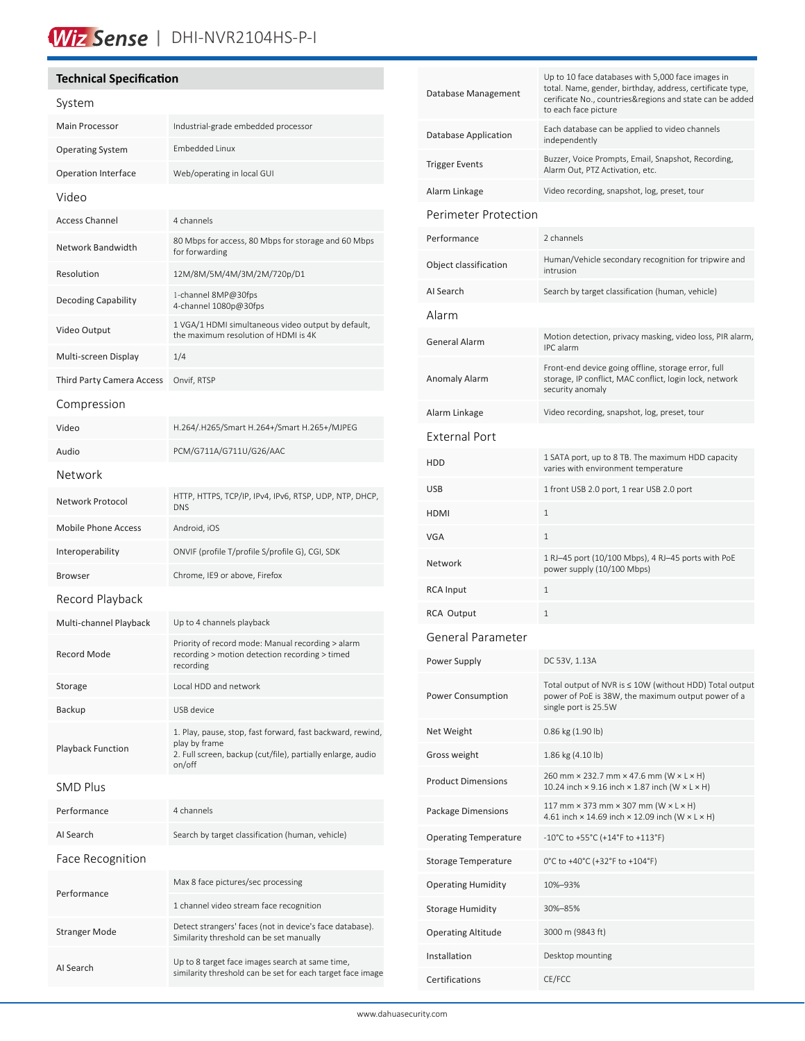### Wiz Sense | DHI-NVR2104HS-P-I

#### **Technical Specification**

| System                     |                                                                                                                                                      |  |
|----------------------------|------------------------------------------------------------------------------------------------------------------------------------------------------|--|
| Main Processor             | Industrial-grade embedded processor                                                                                                                  |  |
| <b>Operating System</b>    | <b>Embedded Linux</b>                                                                                                                                |  |
| Operation Interface        | Web/operating in local GUI                                                                                                                           |  |
| Video                      |                                                                                                                                                      |  |
| <b>Access Channel</b>      | 4 channels                                                                                                                                           |  |
| Network Bandwidth          | 80 Mbps for access, 80 Mbps for storage and 60 Mbps<br>for forwarding                                                                                |  |
| Resolution                 | 12M/8M/5M/4M/3M/2M/720p/D1                                                                                                                           |  |
| Decoding Capability        | 1-channel 8MP@30fps<br>4-channel 1080p@30fps                                                                                                         |  |
| Video Output               | 1 VGA/1 HDMI simultaneous video output by default,<br>the maximum resolution of HDMI is 4K                                                           |  |
| Multi-screen Display       | 1/4                                                                                                                                                  |  |
| Third Party Camera Access  | Onvif, RTSP                                                                                                                                          |  |
| Compression                |                                                                                                                                                      |  |
| Video                      | H.264/.H265/Smart H.264+/Smart H.265+/MJPEG                                                                                                          |  |
| Audio                      | PCM/G711A/G711U/G26/AAC                                                                                                                              |  |
| Network                    |                                                                                                                                                      |  |
| Network Protocol           | HTTP, HTTPS, TCP/IP, IPv4, IPv6, RTSP, UDP, NTP, DHCP,<br><b>DNS</b>                                                                                 |  |
| <b>Mobile Phone Access</b> | Android, iOS                                                                                                                                         |  |
| Interoperability           | ONVIF (profile T/profile S/profile G), CGI, SDK                                                                                                      |  |
| <b>Browser</b>             | Chrome, IE9 or above, Firefox                                                                                                                        |  |
| Record Playback            |                                                                                                                                                      |  |
| Multi-channel Playback     | Up to 4 channels playback                                                                                                                            |  |
| <b>Record Mode</b>         | Priority of record mode: Manual recording > alarm<br>recording > motion detection recording > timed<br>recording                                     |  |
| Storage                    | Local HDD and network                                                                                                                                |  |
| Backup                     | USB device                                                                                                                                           |  |
| <b>Playback Function</b>   | 1. Play, pause, stop, fast forward, fast backward, rewind,<br>play by frame<br>2. Full screen, backup (cut/file), partially enlarge, audio<br>on/off |  |
| <b>SMD Plus</b>            |                                                                                                                                                      |  |
| Performance                | 4 channels                                                                                                                                           |  |
| AI Search                  | Search by target classification (human, vehicle)                                                                                                     |  |
| Face Recognition           |                                                                                                                                                      |  |
| Performance                | Max 8 face pictures/sec processing                                                                                                                   |  |
|                            | 1 channel video stream face recognition                                                                                                              |  |
| Stranger Mode              | Detect strangers' faces (not in device's face database).<br>Similarity threshold can be set manually                                                 |  |
| AI Search                  | Up to 8 target face images search at same time,<br>similarity threshold can be set for each target face image                                        |  |

| Database Management          | Up to 10 face databases with 5,000 face images in<br>total. Name, gender, birthday, address, certificate type,<br>cerificate No., countries&regions and state can be added |  |  |  |
|------------------------------|----------------------------------------------------------------------------------------------------------------------------------------------------------------------------|--|--|--|
|                              | to each face picture                                                                                                                                                       |  |  |  |
| <b>Database Application</b>  | Each database can be applied to video channels<br>independently                                                                                                            |  |  |  |
| <b>Trigger Events</b>        | Buzzer, Voice Prompts, Email, Snapshot, Recording,<br>Alarm Out, PTZ Activation, etc.                                                                                      |  |  |  |
| Alarm Linkage                | Video recording, snapshot, log, preset, tour                                                                                                                               |  |  |  |
| Perimeter Protection         |                                                                                                                                                                            |  |  |  |
| Performance                  | 2 channels                                                                                                                                                                 |  |  |  |
| Object classification        | Human/Vehicle secondary recognition for tripwire and<br>intrusion                                                                                                          |  |  |  |
| AI Search                    | Search by target classification (human, vehicle)                                                                                                                           |  |  |  |
| Alarm                        |                                                                                                                                                                            |  |  |  |
| <b>General Alarm</b>         | Motion detection, privacy masking, video loss, PIR alarm,<br>IPC alarm                                                                                                     |  |  |  |
| Anomaly Alarm                | Front-end device going offline, storage error, full<br>storage, IP conflict, MAC conflict, login lock, network<br>security anomaly                                         |  |  |  |
| Alarm Linkage                | Video recording, snapshot, log, preset, tour                                                                                                                               |  |  |  |
| <b>External Port</b>         |                                                                                                                                                                            |  |  |  |
| HDD                          | 1 SATA port, up to 8 TB. The maximum HDD capacity<br>varies with environment temperature                                                                                   |  |  |  |
| <b>USB</b>                   | 1 front USB 2.0 port, 1 rear USB 2.0 port                                                                                                                                  |  |  |  |
| <b>HDMI</b>                  | 1                                                                                                                                                                          |  |  |  |
| VGA                          | 1                                                                                                                                                                          |  |  |  |
| Network                      | 1 RJ-45 port (10/100 Mbps), 4 RJ-45 ports with PoE<br>power supply (10/100 Mbps)                                                                                           |  |  |  |
| RCA Input                    | 1                                                                                                                                                                          |  |  |  |
| <b>RCA Output</b>            | 1                                                                                                                                                                          |  |  |  |
| General Parameter            |                                                                                                                                                                            |  |  |  |
| Power Supply                 | DC 53V, 1.13A                                                                                                                                                              |  |  |  |
| Power Consumption            | Total output of NVR is ≤ 10W (without HDD) Total output<br>power of PoE is 38W, the maximum output power of a<br>single port is 25.5W                                      |  |  |  |
| Net Weight                   | 0.86 kg (1.90 lb)                                                                                                                                                          |  |  |  |
| Gross weight                 | 1.86 kg (4.10 lb)                                                                                                                                                          |  |  |  |
| <b>Product Dimensions</b>    | 260 mm × 232.7 mm × 47.6 mm (W × L × H)<br>10.24 inch $\times$ 9.16 inch $\times$ 1.87 inch (W $\times$ L $\times$ H)                                                      |  |  |  |
| Package Dimensions           | 117 mm $\times$ 373 mm $\times$ 307 mm (W $\times$ L $\times$ H)<br>4.61 inch × 14.69 inch × 12.09 inch (W × L × H)                                                        |  |  |  |
| <b>Operating Temperature</b> | $-10^{\circ}$ C to +55 $^{\circ}$ C (+14 $^{\circ}$ F to +113 $^{\circ}$ F)                                                                                                |  |  |  |
| Storage Temperature          | 0°C to +40°C (+32°F to +104°F)                                                                                                                                             |  |  |  |
| <b>Operating Humidity</b>    | 10%-93%                                                                                                                                                                    |  |  |  |
| Storage Humidity             | 30%-85%                                                                                                                                                                    |  |  |  |
| <b>Operating Altitude</b>    | 3000 m (9843 ft)                                                                                                                                                           |  |  |  |
| Installation                 | Desktop mounting                                                                                                                                                           |  |  |  |
| Certifications               | CE/FCC                                                                                                                                                                     |  |  |  |
|                              |                                                                                                                                                                            |  |  |  |